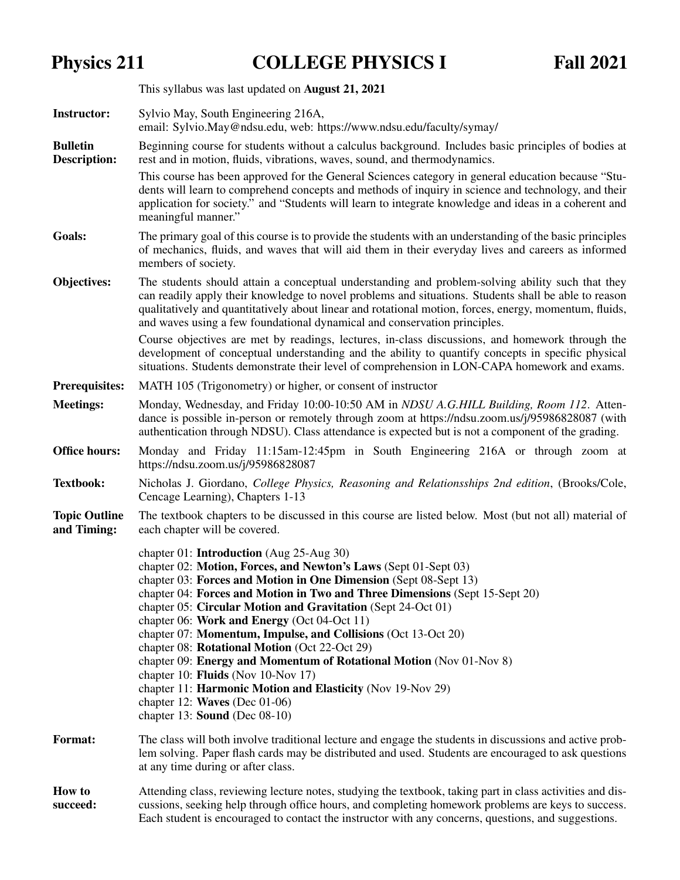## Physics 211 COLLEGE PHYSICS I Fall 2021

|                                     | This syllabus was last updated on August 21, 2021                                                                                                                                                                                                                                                                                                                                                                                                                                                                                                                                                                                                                                                                                                                |  |  |  |  |
|-------------------------------------|------------------------------------------------------------------------------------------------------------------------------------------------------------------------------------------------------------------------------------------------------------------------------------------------------------------------------------------------------------------------------------------------------------------------------------------------------------------------------------------------------------------------------------------------------------------------------------------------------------------------------------------------------------------------------------------------------------------------------------------------------------------|--|--|--|--|
| <b>Instructor:</b>                  | Sylvio May, South Engineering 216A,<br>email: Sylvio.May@ndsu.edu, web: https://www.ndsu.edu/faculty/symay/                                                                                                                                                                                                                                                                                                                                                                                                                                                                                                                                                                                                                                                      |  |  |  |  |
| <b>Bulletin</b><br>Description:     | Beginning course for students without a calculus background. Includes basic principles of bodies at<br>rest and in motion, fluids, vibrations, waves, sound, and thermodynamics.                                                                                                                                                                                                                                                                                                                                                                                                                                                                                                                                                                                 |  |  |  |  |
|                                     | This course has been approved for the General Sciences category in general education because "Stu-<br>dents will learn to comprehend concepts and methods of inquiry in science and technology, and their<br>application for society." and "Students will learn to integrate knowledge and ideas in a coherent and<br>meaningful manner."                                                                                                                                                                                                                                                                                                                                                                                                                        |  |  |  |  |
| <b>Goals:</b>                       | The primary goal of this course is to provide the students with an understanding of the basic principles<br>of mechanics, fluids, and waves that will aid them in their everyday lives and careers as informed<br>members of society.                                                                                                                                                                                                                                                                                                                                                                                                                                                                                                                            |  |  |  |  |
| Objectives:                         | The students should attain a conceptual understanding and problem-solving ability such that they<br>can readily apply their knowledge to novel problems and situations. Students shall be able to reason<br>qualitatively and quantitatively about linear and rotational motion, forces, energy, momentum, fluids,<br>and waves using a few foundational dynamical and conservation principles.                                                                                                                                                                                                                                                                                                                                                                  |  |  |  |  |
|                                     | Course objectives are met by readings, lectures, in-class discussions, and homework through the<br>development of conceptual understanding and the ability to quantify concepts in specific physical<br>situations. Students demonstrate their level of comprehension in LON-CAPA homework and exams.                                                                                                                                                                                                                                                                                                                                                                                                                                                            |  |  |  |  |
| <b>Prerequisites:</b>               | MATH 105 (Trigonometry) or higher, or consent of instructor                                                                                                                                                                                                                                                                                                                                                                                                                                                                                                                                                                                                                                                                                                      |  |  |  |  |
| <b>Meetings:</b>                    | Monday, Wednesday, and Friday 10:00-10:50 AM in NDSU A.G.HILL Building, Room 112. Atten-<br>dance is possible in-person or remotely through zoom at https://ndsu.zoom.us/j/95986828087 (with<br>authentication through NDSU). Class attendance is expected but is not a component of the grading.                                                                                                                                                                                                                                                                                                                                                                                                                                                                |  |  |  |  |
| <b>Office hours:</b>                | Monday and Friday 11:15am-12:45pm in South Engineering 216A or through zoom at<br>https://ndsu.zoom.us/j/95986828087                                                                                                                                                                                                                                                                                                                                                                                                                                                                                                                                                                                                                                             |  |  |  |  |
| <b>Textbook:</b>                    | Nicholas J. Giordano, College Physics, Reasoning and Relationsships 2nd edition, (Brooks/Cole,<br>Cencage Learning), Chapters 1-13                                                                                                                                                                                                                                                                                                                                                                                                                                                                                                                                                                                                                               |  |  |  |  |
| <b>Topic Outline</b><br>and Timing: | The textbook chapters to be discussed in this course are listed below. Most (but not all) material of<br>each chapter will be covered.                                                                                                                                                                                                                                                                                                                                                                                                                                                                                                                                                                                                                           |  |  |  |  |
|                                     | chapter 01: <b>Introduction</b> (Aug 25-Aug 30)<br>chapter 02: Motion, Forces, and Newton's Laws (Sept 01-Sept 03)<br>chapter 03: Forces and Motion in One Dimension (Sept 08-Sept 13)<br>chapter 04: Forces and Motion in Two and Three Dimensions (Sept 15-Sept 20)<br>chapter 05: Circular Motion and Gravitation (Sept 24-Oct 01)<br>chapter 06: Work and Energy (Oct 04-Oct 11)<br>chapter 07: Momentum, Impulse, and Collisions (Oct 13-Oct 20)<br>chapter 08: <b>Rotational Motion</b> (Oct 22-Oct 29)<br>chapter 09: Energy and Momentum of Rotational Motion (Nov 01-Nov 8)<br>chapter 10: Fluids (Nov 10-Nov 17)<br>chapter 11: Harmonic Motion and Elasticity (Nov 19-Nov 29)<br>chapter 12: Waves (Dec $01-06$ )<br>chapter 13: Sound (Dec $08-10$ ) |  |  |  |  |
| <b>Format:</b>                      | The class will both involve traditional lecture and engage the students in discussions and active prob-<br>lem solving. Paper flash cards may be distributed and used. Students are encouraged to ask questions<br>at any time during or after class.                                                                                                                                                                                                                                                                                                                                                                                                                                                                                                            |  |  |  |  |
| <b>How to</b><br>succeed:           | Attending class, reviewing lecture notes, studying the textbook, taking part in class activities and dis-<br>cussions, seeking help through office hours, and completing homework problems are keys to success.<br>Each student is encouraged to contact the instructor with any concerns, questions, and suggestions.                                                                                                                                                                                                                                                                                                                                                                                                                                           |  |  |  |  |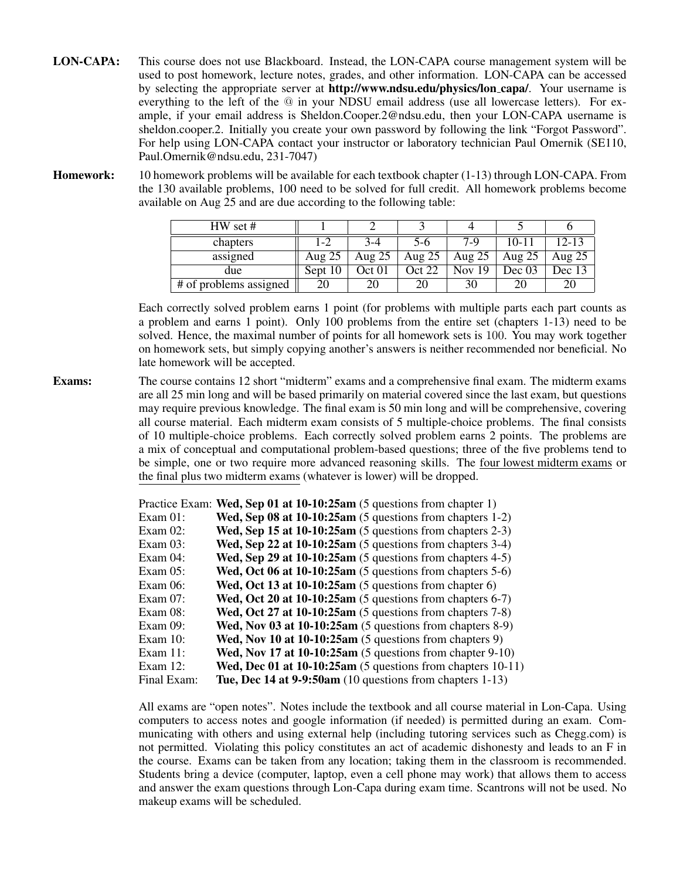- LON-CAPA: This course does not use Blackboard. Instead, the LON-CAPA course management system will be used to post homework, lecture notes, grades, and other information. LON-CAPA can be accessed by selecting the appropriate server at **http://www.ndsu.edu/physics/lon\_capa/**. Your username is everything to the left of the @ in your NDSU email address (use all lowercase letters). For example, if your email address is Sheldon.Cooper.2@ndsu.edu, then your LON-CAPA username is sheldon.cooper.2. Initially you create your own password by following the link "Forgot Password". For help using LON-CAPA contact your instructor or laboratory technician Paul Omernik (SE110, Paul.Omernik@ndsu.edu, 231-7047)
- Homework: 10 homework problems will be available for each textbook chapter (1-13) through LON-CAPA. From the 130 available problems, 100 need to be solved for full credit. All homework problems become available on Aug 25 and are due according to the following table:

| $HW$ set #             |          |          |          |               |           |          |
|------------------------|----------|----------|----------|---------------|-----------|----------|
| chapters               | $1 - 2$  | $3 - 4$  | $5-6$    | $7-9$         | $10 - 11$ | 12-13    |
| assigned               | Aug $25$ | Aug $25$ | Aug $25$ | Aug $25$      | Aug $25$  | Aug $25$ |
| due                    | Sept 10  | Oct 01   | Oct 22   | <b>Nov</b> 19 | Dec~03    | Dec 13   |
| # of problems assigned |          | 20       | 20       | 30            | 20        | 20       |

Each correctly solved problem earns 1 point (for problems with multiple parts each part counts as a problem and earns 1 point). Only 100 problems from the entire set (chapters 1-13) need to be solved. Hence, the maximal number of points for all homework sets is 100. You may work together on homework sets, but simply copying another's answers is neither recommended nor beneficial. No late homework will be accepted.

Exams: The course contains 12 short "midterm" exams and a comprehensive final exam. The midterm exams are all 25 min long and will be based primarily on material covered since the last exam, but questions may require previous knowledge. The final exam is 50 min long and will be comprehensive, covering all course material. Each midterm exam consists of 5 multiple-choice problems. The final consists of 10 multiple-choice problems. Each correctly solved problem earns 2 points. The problems are a mix of conceptual and computational problem-based questions; three of the five problems tend to be simple, one or two require more advanced reasoning skills. The four lowest midterm exams or the final plus two midterm exams (whatever is lower) will be dropped.

|             | Practice Exam: Wed, Sep 01 at 10-10:25am (5 questions from chapter 1) |
|-------------|-----------------------------------------------------------------------|
| $Exam 01$ : | Wed, Sep 08 at $10-10:25am$ (5 questions from chapters 1-2)           |
| Exam $02$ : | Wed, Sep 15 at $10-10:25am$ (5 questions from chapters 2-3)           |
| Exam $03$ : | Wed, Sep 22 at $10-10:25am$ (5 questions from chapters 3-4)           |
| Exam $04$ : | Wed, Sep 29 at $10-10:25am$ (5 questions from chapters 4-5)           |
| Exam $05$ : | Wed, Oct 06 at 10-10:25am (5 questions from chapters 5-6)             |
| Exam $06$ : | Wed, Oct 13 at 10-10:25am (5 questions from chapter 6)                |
| Exam $07$ : | Wed, Oct 20 at $10-10:25am$ (5 questions from chapters 6-7)           |
| Exam $08$ : | Wed, Oct 27 at $10-10:25am$ (5 questions from chapters 7-8)           |
| Exam $09$ : | Wed, Nov $03$ at $10-10:25$ am (5 questions from chapters $8-9$ )     |
| Exam $10$ : | Wed, Nov 10 at $10-10:25am$ (5 questions from chapters 9)             |
| Exam $11$ : | Wed, Nov 17 at $10-10:25am$ (5 questions from chapter 9-10)           |
| Exam $12$ : | Wed, Dec 01 at $10-10:25am$ (5 questions from chapters 10-11)         |
| Final Exam: | Tue, Dec 14 at $9-9:50$ am (10 questions from chapters 1-13)          |

All exams are "open notes". Notes include the textbook and all course material in Lon-Capa. Using computers to access notes and google information (if needed) is permitted during an exam. Communicating with others and using external help (including tutoring services such as Chegg.com) is not permitted. Violating this policy constitutes an act of academic dishonesty and leads to an F in the course. Exams can be taken from any location; taking them in the classroom is recommended. Students bring a device (computer, laptop, even a cell phone may work) that allows them to access and answer the exam questions through Lon-Capa during exam time. Scantrons will not be used. No makeup exams will be scheduled.